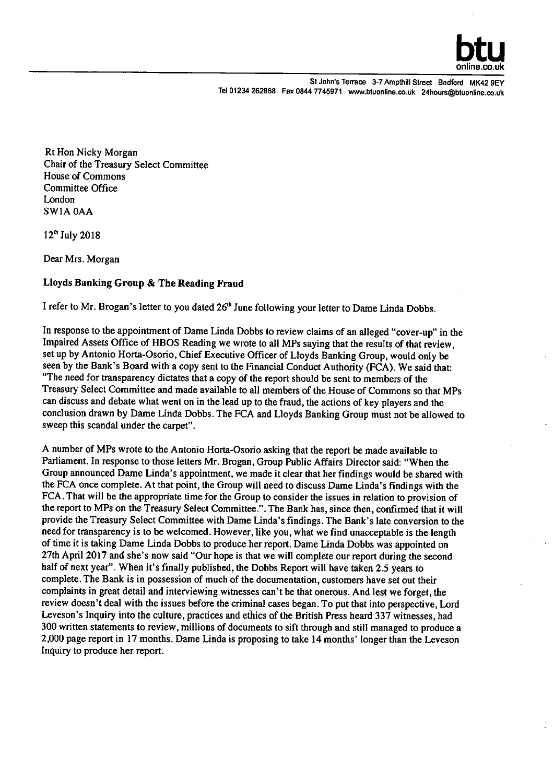

**St John's Terrace 3-7 Ampthill Street Bedford MK42 9Ev**  Tel 01234 262868 Fax 0844 7745971 www.btuonline.co.uk 24hours@btuonline.co.uk

Rt Hon Nicky Morgan Chair of the Treasury Select Committee House of Commons Committee Office London SW1A OAA

12<sup>th</sup> July 2018

Dear Mrs. Morgan

## Lloyds Banking Group & The Reading Fraud

I refer to Mr. Brogan's letter to you dated 26<sup>th</sup> June following your letter to Dame Linda Dobbs.

In response to the appointment of Dame Linda Dobbs to review claims of an alleged "cover-up" in the Impaired Assets Office of HBOS Reading we wrote to all MPs saying that the results of that review, set up by Antonio Horta-Osorio, Chief Executive Officer of Lloyds Banking Group, would only be seen by the Bank's Board with a copy sent to the Financial Conduct Authority (FCA). We said that: "The need for transparency dictates that a copy of the report should be sent to members of the Treasury Select Committee and made available to all members of the House of Commons so that MPs can discuss and debate what went on in the lead up to the fraud, the actions of key players and the conclusion drawn by Dame Linda Dobbs. The FCA and Lloyds Banking Group must not be allowed to sweep this scandal under the carpet".

A number of MPs wrote to the Antonio Horta-Osorio asking that the report be made available to Parliament. In response to those letters Mr. Brogan, Group Public Affairs Director said: "When the Group announced Dame Linda's appointment, we made it clear that her findings would be shared with the FCA once complete. At that point, the Group will need to discuss Dame Linda's findings with the FCA. That will be the appropriate time for the Group to consider the issues in relation to provision of the report to MPs on the Treasury Select Committee.". The Bank has, since then, confirmed that it will provide the Treasury Select Committee with Dame Linda's findings. The Bank's late conversion to the need for transparency is to be welcomed. However, like you, what we find unacceptable is the length of time it is taking Dame Linda Dobbs to produce her report. Dame Linda Dobbs was appointed on 27th April 2017 and she's now said "Our hope is that we will complete our report during the second half of next year". When it's finally published, the Dobbs Report will have taken 2.5 years to complete. The Bank is in possession of much of the documentation, customers have set out their complaints in great detail and interviewing witnesses can't be that onerous. And lest we forget, the review doesn't deal with the issues before the criminal cases began. To put that into perspective, Lord Leveson's Inquiry into the culture, practices and ethics of the British Press heard 337 witnesses, had 300 written statements to review, millions of documents to sift through and still managed to produce a 2,000 page report in 17 months. Dame Linda is proposing to take 14 months' longer than the Leveson Inquiry to produce her report.